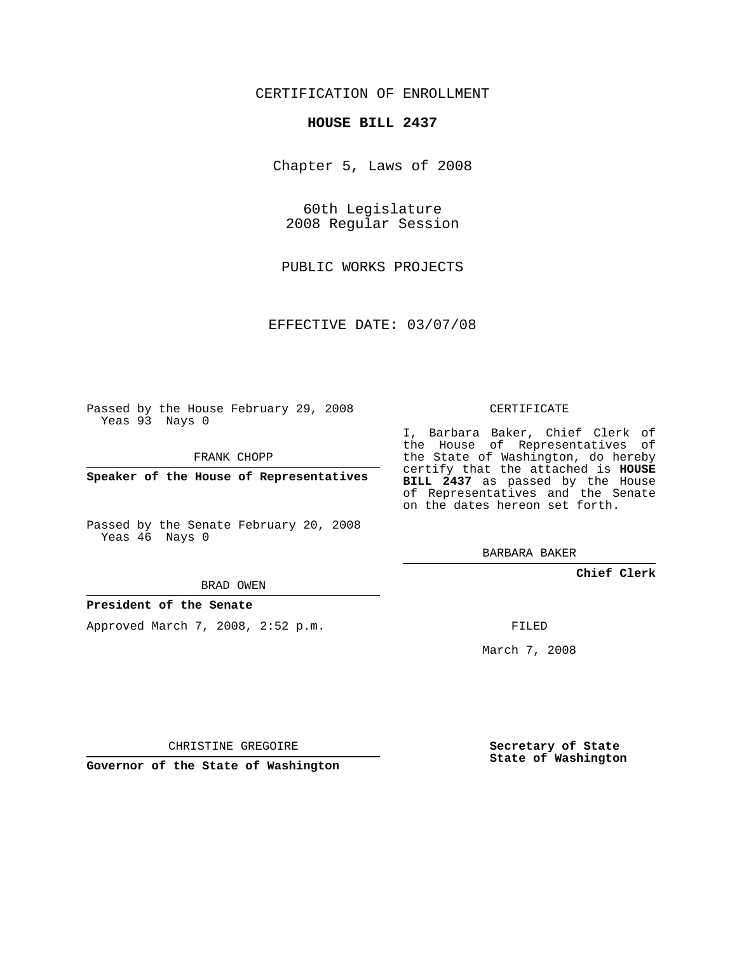## CERTIFICATION OF ENROLLMENT

#### **HOUSE BILL 2437**

Chapter 5, Laws of 2008

60th Legislature 2008 Regular Session

PUBLIC WORKS PROJECTS

EFFECTIVE DATE: 03/07/08

Passed by the House February 29, 2008 Yeas 93 Nays 0

FRANK CHOPP

**Speaker of the House of Representatives**

Passed by the Senate February 20, 2008 Yeas 46 Nays 0

BRAD OWEN

### **President of the Senate**

Approved March 7, 2008, 2:52 p.m.

CERTIFICATE

I, Barbara Baker, Chief Clerk of the House of Representatives of the State of Washington, do hereby certify that the attached is **HOUSE BILL 2437** as passed by the House of Representatives and the Senate on the dates hereon set forth.

BARBARA BAKER

**Chief Clerk**

FILED

March 7, 2008

CHRISTINE GREGOIRE

**Governor of the State of Washington**

**Secretary of State State of Washington**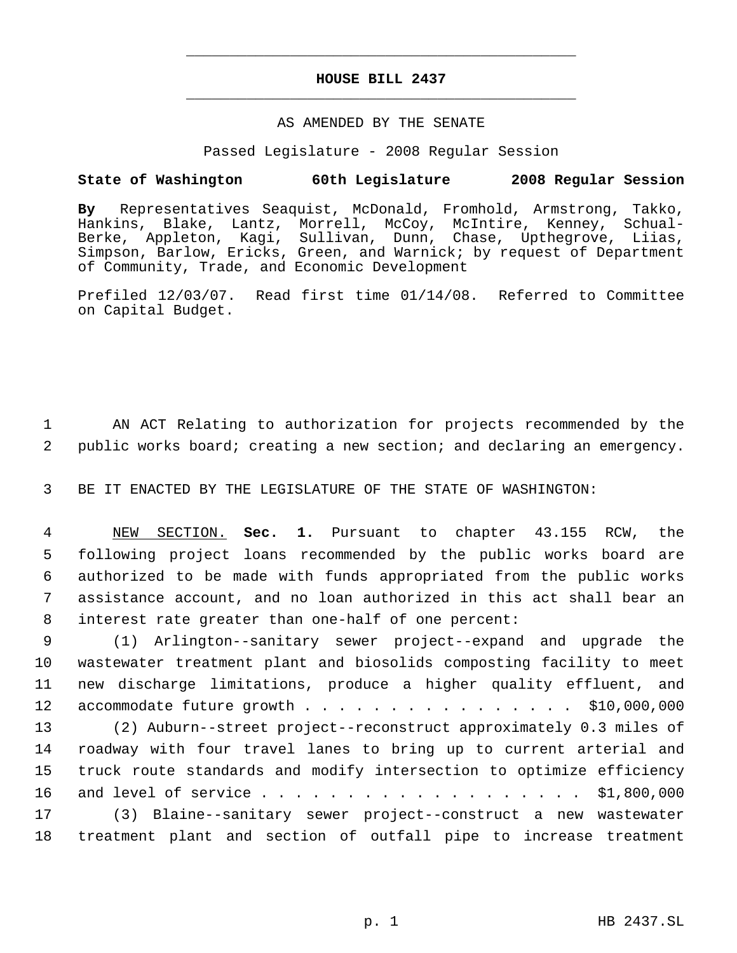# **HOUSE BILL 2437** \_\_\_\_\_\_\_\_\_\_\_\_\_\_\_\_\_\_\_\_\_\_\_\_\_\_\_\_\_\_\_\_\_\_\_\_\_\_\_\_\_\_\_\_\_

\_\_\_\_\_\_\_\_\_\_\_\_\_\_\_\_\_\_\_\_\_\_\_\_\_\_\_\_\_\_\_\_\_\_\_\_\_\_\_\_\_\_\_\_\_

## AS AMENDED BY THE SENATE

Passed Legislature - 2008 Regular Session

## **State of Washington 60th Legislature 2008 Regular Session**

**By** Representatives Seaquist, McDonald, Fromhold, Armstrong, Takko, Hankins, Blake, Lantz, Morrell, McCoy, McIntire, Kenney, Schual-Berke, Appleton, Kagi, Sullivan, Dunn, Chase, Upthegrove, Liias, Simpson, Barlow, Ericks, Green, and Warnick; by request of Department of Community, Trade, and Economic Development

Prefiled 12/03/07. Read first time 01/14/08. Referred to Committee on Capital Budget.

 1 AN ACT Relating to authorization for projects recommended by the 2 public works board; creating a new section; and declaring an emergency.

3 BE IT ENACTED BY THE LEGISLATURE OF THE STATE OF WASHINGTON:

 NEW SECTION. **Sec. 1.** Pursuant to chapter 43.155 RCW, the following project loans recommended by the public works board are authorized to be made with funds appropriated from the public works assistance account, and no loan authorized in this act shall bear an interest rate greater than one-half of one percent:

 (1) Arlington--sanitary sewer project--expand and upgrade the wastewater treatment plant and biosolids composting facility to meet new discharge limitations, produce a higher quality effluent, and 12 accommodate future growth . . . . . . . . . . . . . . . \$10,000,000

 (2) Auburn--street project--reconstruct approximately 0.3 miles of roadway with four travel lanes to bring up to current arterial and truck route standards and modify intersection to optimize efficiency 16 and level of service . . . . . . . . . . . . . . . . . . \$1,800,000 (3) Blaine--sanitary sewer project--construct a new wastewater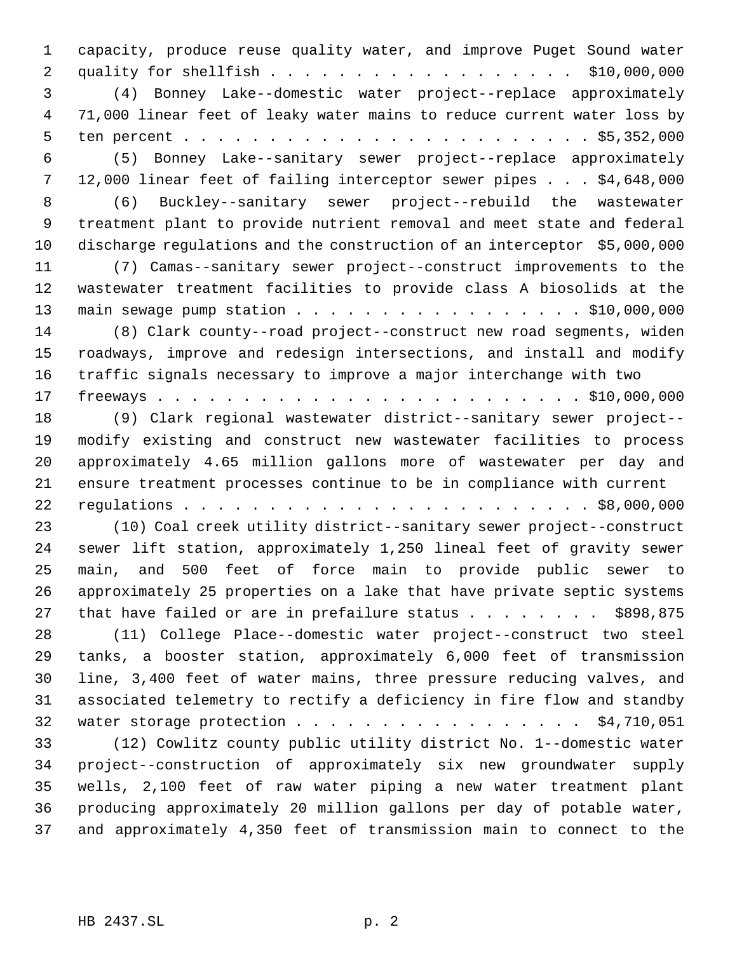capacity, produce reuse quality water, and improve Puget Sound water quality for shellfish . . . . . . . . . . . . . . . . . . \$10,000,000 (4) Bonney Lake--domestic water project--replace approximately 71,000 linear feet of leaky water mains to reduce current water loss by ten percent . . . . . . . . . . . . . . . . . . . . . . . . \$5,352,000 (5) Bonney Lake--sanitary sewer project--replace approximately 12,000 linear feet of failing interceptor sewer pipes . . . \$4,648,000 (6) Buckley--sanitary sewer project--rebuild the wastewater treatment plant to provide nutrient removal and meet state and federal discharge regulations and the construction of an interceptor \$5,000,000 (7) Camas--sanitary sewer project--construct improvements to the wastewater treatment facilities to provide class A biosolids at the 13 main sewage pump station . . . . . . . . . . . . . . . . . \$10,000,000 (8) Clark county--road project--construct new road segments, widen roadways, improve and redesign intersections, and install and modify traffic signals necessary to improve a major interchange with two freeways . . . . . . . . . . . . . . . . . . . . . . . . . \$10,000,000 (9) Clark regional wastewater district--sanitary sewer project-- modify existing and construct new wastewater facilities to process approximately 4.65 million gallons more of wastewater per day and ensure treatment processes continue to be in compliance with current regulations . . . . . . . . . . . . . . . . . . . . . . . . \$8,000,000 (10) Coal creek utility district--sanitary sewer project--construct sewer lift station, approximately 1,250 lineal feet of gravity sewer main, and 500 feet of force main to provide public sewer to approximately 25 properties on a lake that have private septic systems 27 that have failed or are in prefailure status  $\ldots$  . . . . . \$898,875 (11) College Place--domestic water project--construct two steel tanks, a booster station, approximately 6,000 feet of transmission line, 3,400 feet of water mains, three pressure reducing valves, and associated telemetry to rectify a deficiency in fire flow and standby 32 water storage protection . . . . . . . . . . . . . . . . . \$4,710,051 (12) Cowlitz county public utility district No. 1--domestic water project--construction of approximately six new groundwater supply wells, 2,100 feet of raw water piping a new water treatment plant producing approximately 20 million gallons per day of potable water, and approximately 4,350 feet of transmission main to connect to the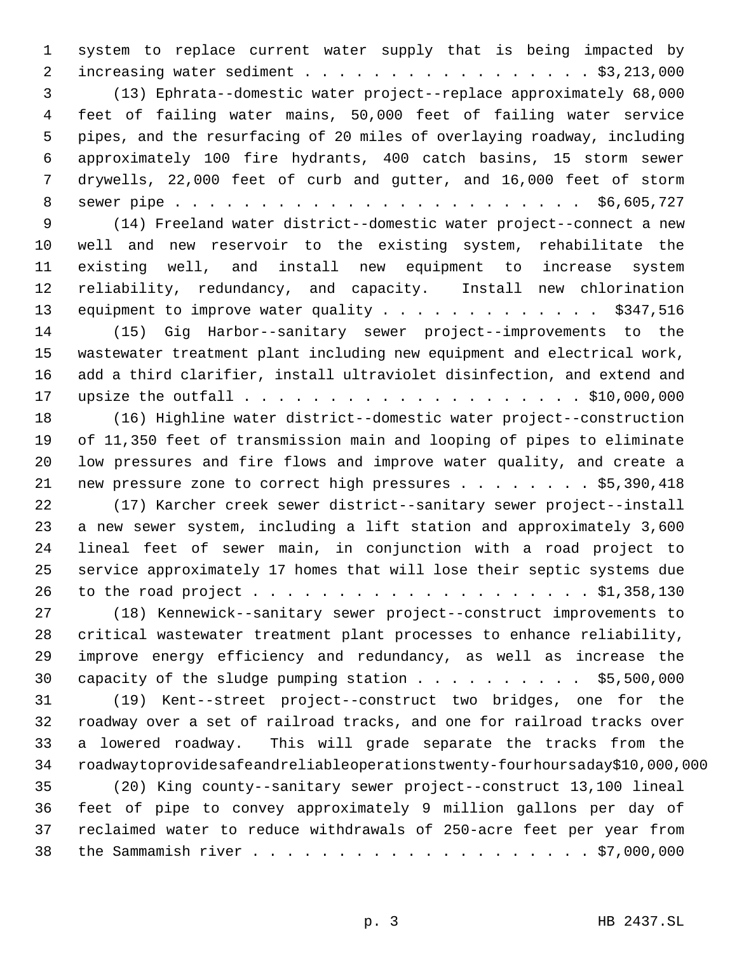system to replace current water supply that is being impacted by 2 increasing water sediment . . . . . . . . . . . . . . . . . \$3,213,000 (13) Ephrata--domestic water project--replace approximately 68,000 feet of failing water mains, 50,000 feet of failing water service pipes, and the resurfacing of 20 miles of overlaying roadway, including approximately 100 fire hydrants, 400 catch basins, 15 storm sewer drywells, 22,000 feet of curb and gutter, and 16,000 feet of storm sewer pipe . . . . . . . . . . . . . . . . . . . . . . . . \$6,605,727 (14) Freeland water district--domestic water project--connect a new well and new reservoir to the existing system, rehabilitate the existing well, and install new equipment to increase system reliability, redundancy, and capacity. Install new chlorination 13 equipment to improve water quality . . . . . . . . . . . . . \$347,516 (15) Gig Harbor--sanitary sewer project--improvements to the wastewater treatment plant including new equipment and electrical work, add a third clarifier, install ultraviolet disinfection, and extend and upsize the outfall . . . . . . . . . . . . . . . . . . . . \$10,000,000 (16) Highline water district--domestic water project--construction of 11,350 feet of transmission main and looping of pipes to eliminate low pressures and fire flows and improve water quality, and create a 21 new pressure zone to correct high pressures . . . . . . . \$5,390,418 (17) Karcher creek sewer district--sanitary sewer project--install a new sewer system, including a lift station and approximately 3,600 lineal feet of sewer main, in conjunction with a road project to service approximately 17 homes that will lose their septic systems due to the road project . . . . . . . . . . . . . . . . . . . . \$1,358,130 (18) Kennewick--sanitary sewer project--construct improvements to critical wastewater treatment plant processes to enhance reliability, improve energy efficiency and redundancy, as well as increase the 30 capacity of the sludge pumping station . . . . . . . . . \$5,500,000 (19) Kent--street project--construct two bridges, one for the roadway over a set of railroad tracks, and one for railroad tracks over a lowered roadway. This will grade separate the tracks from the roadwaytoprovidesafeandreliableoperationstwenty-fourhoursaday\$10,000,000 (20) King county--sanitary sewer project--construct 13,100 lineal feet of pipe to convey approximately 9 million gallons per day of reclaimed water to reduce withdrawals of 250-acre feet per year from the Sammamish river . . . . . . . . . . . . . . . . . . . . \$7,000,000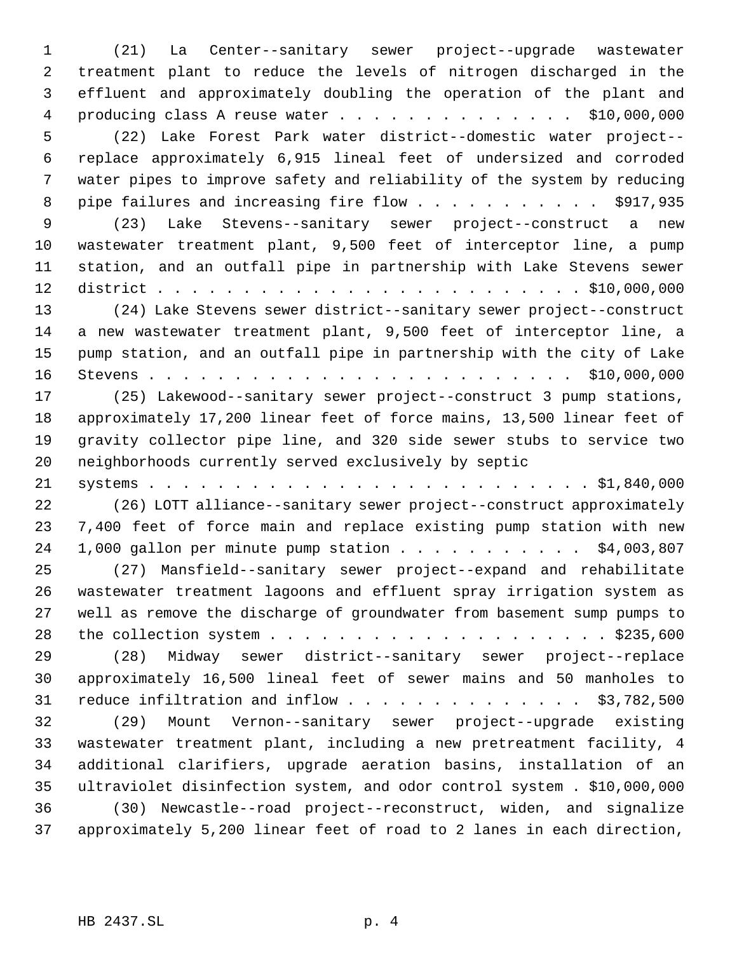(21) La Center--sanitary sewer project--upgrade wastewater treatment plant to reduce the levels of nitrogen discharged in the effluent and approximately doubling the operation of the plant and producing class A reuse water . . . . . . . . . . . . . . \$10,000,000 (22) Lake Forest Park water district--domestic water project-- replace approximately 6,915 lineal feet of undersized and corroded water pipes to improve safety and reliability of the system by reducing 8 pipe failures and increasing fire flow . . . . . . . . . . . \$917,935 (23) Lake Stevens--sanitary sewer project--construct a new wastewater treatment plant, 9,500 feet of interceptor line, a pump station, and an outfall pipe in partnership with Lake Stevens sewer district . . . . . . . . . . . . . . . . . . . . . . . . . \$10,000,000 (24) Lake Stevens sewer district--sanitary sewer project--construct a new wastewater treatment plant, 9,500 feet of interceptor line, a pump station, and an outfall pipe in partnership with the city of Lake Stevens . . . . . . . . . . . . . . . . . . . . . . . . . \$10,000,000 (25) Lakewood--sanitary sewer project--construct 3 pump stations, approximately 17,200 linear feet of force mains, 13,500 linear feet of gravity collector pipe line, and 320 side sewer stubs to service two neighborhoods currently served exclusively by septic systems . . . . . . . . . . . . . . . . . . . . . . . . . . \$1,840,000 (26) LOTT alliance--sanitary sewer project--construct approximately 7,400 feet of force main and replace existing pump station with new 24 1,000 gallon per minute pump station . . . . . . . . . . . \$4,003,807 (27) Mansfield--sanitary sewer project--expand and rehabilitate wastewater treatment lagoons and effluent spray irrigation system as well as remove the discharge of groundwater from basement sump pumps to the collection system . . . . . . . . . . . . . . . . . . . . \$235,600 (28) Midway sewer district--sanitary sewer project--replace approximately 16,500 lineal feet of sewer mains and 50 manholes to 31 reduce infiltration and inflow  $\ldots$  . . . . . . . . . . . . \$3,782,500 (29) Mount Vernon--sanitary sewer project--upgrade existing wastewater treatment plant, including a new pretreatment facility, 4 additional clarifiers, upgrade aeration basins, installation of an ultraviolet disinfection system, and odor control system . \$10,000,000 (30) Newcastle--road project--reconstruct, widen, and signalize approximately 5,200 linear feet of road to 2 lanes in each direction,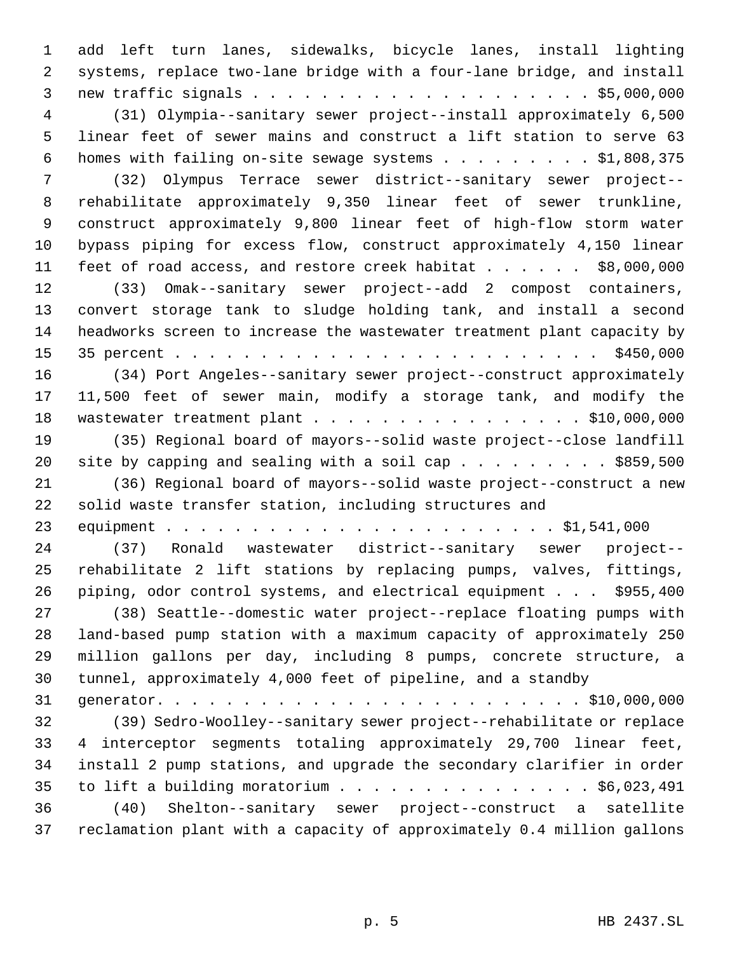add left turn lanes, sidewalks, bicycle lanes, install lighting systems, replace two-lane bridge with a four-lane bridge, and install new traffic signals . . . . . . . . . . . . . . . . . . . . \$5,000,000 (31) Olympia--sanitary sewer project--install approximately 6,500 linear feet of sewer mains and construct a lift station to serve 63 homes with failing on-site sewage systems . . . . . . . . . \$1,808,375 (32) Olympus Terrace sewer district--sanitary sewer project-- rehabilitate approximately 9,350 linear feet of sewer trunkline, construct approximately 9,800 linear feet of high-flow storm water bypass piping for excess flow, construct approximately 4,150 linear 11 feet of road access, and restore creek habitat . . . . . \$8,000,000 (33) Omak--sanitary sewer project--add 2 compost containers, convert storage tank to sludge holding tank, and install a second headworks screen to increase the wastewater treatment plant capacity by 35 percent . . . . . . . . . . . . . . . . . . . . . . . . . \$450,000 (34) Port Angeles--sanitary sewer project--construct approximately 11,500 feet of sewer main, modify a storage tank, and modify the 18 wastewater treatment plant . . . . . . . . . . . . . . . . \$10,000,000 (35) Regional board of mayors--solid waste project--close landfill 20 site by capping and sealing with a soil cap . . . . . . . . \$859,500 (36) Regional board of mayors--solid waste project--construct a new solid waste transfer station, including structures and equipment . . . . . . . . . . . . . . . . . . . . . . . \$1,541,000 (37) Ronald wastewater district--sanitary sewer project-- rehabilitate 2 lift stations by replacing pumps, valves, fittings, piping, odor control systems, and electrical equipment . . . \$955,400 (38) Seattle--domestic water project--replace floating pumps with land-based pump station with a maximum capacity of approximately 250 million gallons per day, including 8 pumps, concrete structure, a tunnel, approximately 4,000 feet of pipeline, and a standby generator. . . . . . . . . . . . . . . . . . . . . . . . . \$10,000,000 (39) Sedro-Woolley--sanitary sewer project--rehabilitate or replace 4 interceptor segments totaling approximately 29,700 linear feet, install 2 pump stations, and upgrade the secondary clarifier in order to lift a building moratorium . . . . . . . . . . . . . . . \$6,023,491 (40) Shelton--sanitary sewer project--construct a satellite reclamation plant with a capacity of approximately 0.4 million gallons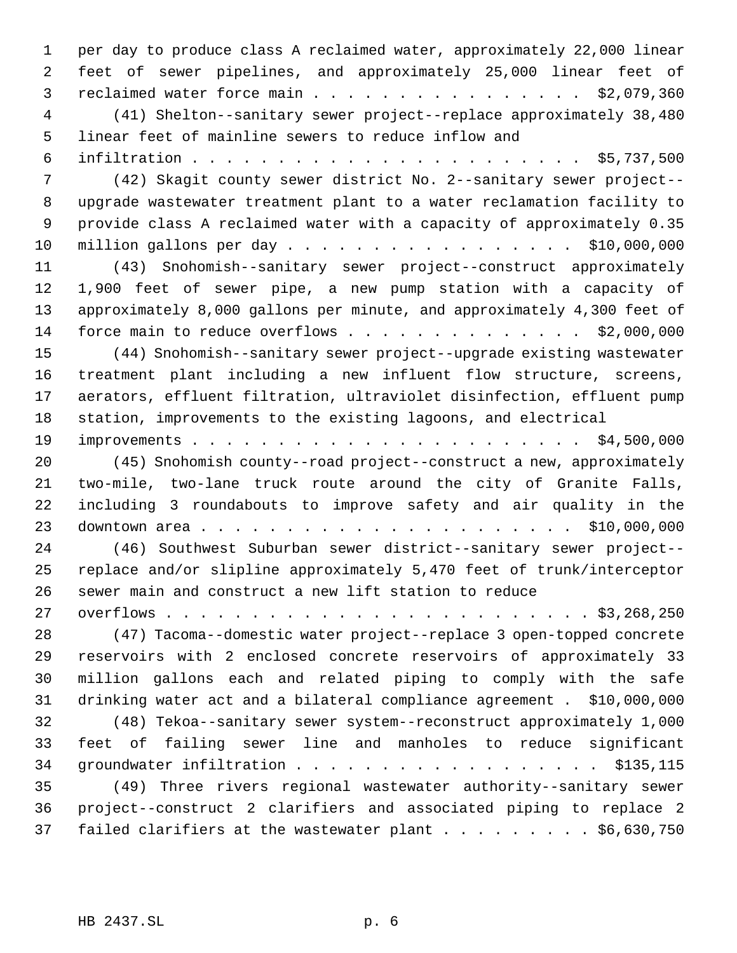per day to produce class A reclaimed water, approximately 22,000 linear feet of sewer pipelines, and approximately 25,000 linear feet of reclaimed water force main . . . . . . . . . . . . . . . . \$2,079,360 (41) Shelton--sanitary sewer project--replace approximately 38,480 linear feet of mainline sewers to reduce inflow and infiltration . . . . . . . . . . . . . . . . . . . . . . . \$5,737,500 (42) Skagit county sewer district No. 2--sanitary sewer project-- upgrade wastewater treatment plant to a water reclamation facility to provide class A reclaimed water with a capacity of approximately 0.35 million gallons per day . . . . . . . . . . . . . . . . . \$10,000,000 (43) Snohomish--sanitary sewer project--construct approximately 1,900 feet of sewer pipe, a new pump station with a capacity of approximately 8,000 gallons per minute, and approximately 4,300 feet of 14 force main to reduce overflows . . . . . . . . . . . . . \$2,000,000 (44) Snohomish--sanitary sewer project--upgrade existing wastewater treatment plant including a new influent flow structure, screens, aerators, effluent filtration, ultraviolet disinfection, effluent pump station, improvements to the existing lagoons, and electrical improvements . . . . . . . . . . . . . . . . . . . . . . . \$4,500,000 (45) Snohomish county--road project--construct a new, approximately two-mile, two-lane truck route around the city of Granite Falls, including 3 roundabouts to improve safety and air quality in the downtown area . . . . . . . . . . . . . . . . . . . . . . \$10,000,000 (46) Southwest Suburban sewer district--sanitary sewer project-- replace and/or slipline approximately 5,470 feet of trunk/interceptor sewer main and construct a new lift station to reduce overflows . . . . . . . . . . . . . . . . . . . . . . . . . \$3,268,250 (47) Tacoma--domestic water project--replace 3 open-topped concrete reservoirs with 2 enclosed concrete reservoirs of approximately 33 million gallons each and related piping to comply with the safe drinking water act and a bilateral compliance agreement . \$10,000,000 (48) Tekoa--sanitary sewer system--reconstruct approximately 1,000 feet of failing sewer line and manholes to reduce significant groundwater infiltration . . . . . . . . . . . . . . . . . . \$135,115 (49) Three rivers regional wastewater authority--sanitary sewer project--construct 2 clarifiers and associated piping to replace 2 37 failed clarifiers at the wastewater plant  $\ldots$  . . . . . . \$6,630,750